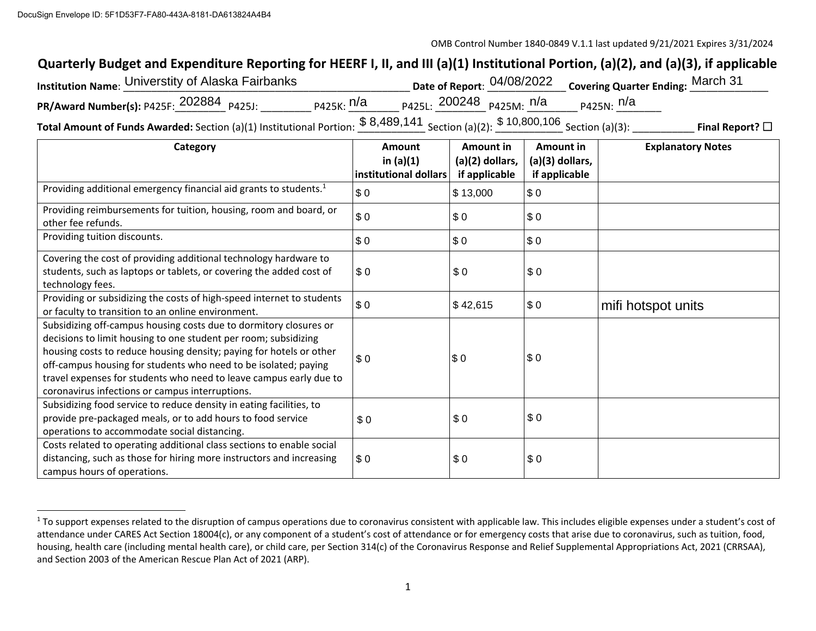## **Quarterly Budget and Expenditure Reporting for HEERF I, II, and III (a)(1) Institutional Portion, (a)(2), and (a)(3), if applicable**

| DocuSign    Envelope ID: 5F1D53F7-FA80-443A-8181-DA613824A4B4                                                                       |                                            |                                                                            |                                                                             |  |
|-------------------------------------------------------------------------------------------------------------------------------------|--------------------------------------------|----------------------------------------------------------------------------|-----------------------------------------------------------------------------|--|
|                                                                                                                                     |                                            |                                                                            | OMB Control Number 1840-0849 V.1.1 last updated 9/21/2021 Expires 3/31/2024 |  |
| Quarterly Budget and Expenditure Reporting for HEERF I, II, and III (a)(1) Institutional Portion, (a)(2), and (a)(3), if applicable |                                            |                                                                            |                                                                             |  |
| Institution Name: Universtity of Alaska Fairbanks                                                                                   |                                            | Date of Report: 04/08/2022                                                 | <b>Covering Quarter Ending: March 31</b>                                    |  |
| PR/Award Number(s): P425F: 202884 P425J:                                                                                            | <sub>Р425К:</sub> n/a                      | $_{P425L}$ : 200248 $_{P425M}$ : n/a                                       | <sub>P425N:</sub> n/a                                                       |  |
|                                                                                                                                     | $\mathbf{r} = \mathbf{r} \cdot \mathbf{r}$ | $$8489141 \, \ldots \, \ldots \, \$10800106 \, \ldots \, \ldots \, \ldots$ |                                                                             |  |

**Total Amount of Funds Awarded:** Section (a)(1) Institutional Portion:  $\frac{\$~8,489,141}{\$~8,400,141}$  Section (a)(2):  $\frac{\$~10,800,106}{\$~8,600,106}$  Section (a)(3): \_\_\_\_\_\_\_\_\_\_\_\_\_ **Final Report?** □

| Category                                                                                                                                                                                                                                                                                                                                                                                                | <b>Amount</b><br>in $(a)(1)$ | Amount in<br>(a)(2) dollars, | <b>Amount in</b><br>(a)(3) dollars, | <b>Explanatory Notes</b> |
|---------------------------------------------------------------------------------------------------------------------------------------------------------------------------------------------------------------------------------------------------------------------------------------------------------------------------------------------------------------------------------------------------------|------------------------------|------------------------------|-------------------------------------|--------------------------|
|                                                                                                                                                                                                                                                                                                                                                                                                         | institutional dollars        | if applicable                | if applicable                       |                          |
| Providing additional emergency financial aid grants to students. <sup>1</sup>                                                                                                                                                                                                                                                                                                                           | \$0                          | \$13,000                     | \$0                                 |                          |
| Providing reimbursements for tuition, housing, room and board, or<br>other fee refunds.                                                                                                                                                                                                                                                                                                                 | \$0                          | \$0                          | \$0                                 |                          |
| Providing tuition discounts.                                                                                                                                                                                                                                                                                                                                                                            | \$0                          | \$0                          | \$0                                 |                          |
| Covering the cost of providing additional technology hardware to<br>students, such as laptops or tablets, or covering the added cost of<br>technology fees.                                                                                                                                                                                                                                             | \$0                          | \$0                          | \$0                                 |                          |
| Providing or subsidizing the costs of high-speed internet to students<br>or faculty to transition to an online environment.                                                                                                                                                                                                                                                                             | \$0                          | \$42,615                     | \$0                                 | mifi hotspot units       |
| Subsidizing off-campus housing costs due to dormitory closures or<br>decisions to limit housing to one student per room; subsidizing<br>housing costs to reduce housing density; paying for hotels or other<br>off-campus housing for students who need to be isolated; paying<br>travel expenses for students who need to leave campus early due to<br>coronavirus infections or campus interruptions. | \$0                          | \$0                          | \$0                                 |                          |
| Subsidizing food service to reduce density in eating facilities, to<br>provide pre-packaged meals, or to add hours to food service<br>operations to accommodate social distancing.                                                                                                                                                                                                                      | \$0                          | \$0                          | \$0                                 |                          |
| Costs related to operating additional class sections to enable social<br>distancing, such as those for hiring more instructors and increasing<br>campus hours of operations.                                                                                                                                                                                                                            | \$0                          | \$0                          | \$0                                 |                          |

<sup>&</sup>lt;sup>1</sup> To support expenses related to the disruption of campus operations due to coronavirus consistent with applicable law. This includes eligible expenses under a student's cost of attendance under CARES Act Section 18004(c), or any component of a student's cost of attendance or for emergency costs that arise due to coronavirus, such as tuition, food, housing, health care (including mental health care), or child care, per Section 314(c) of the Coronavirus Response and Relief Supplemental Appropriations Act, 2021 (CRRSAA), and Section 2003 of the American Rescue Plan Act of 2021 (ARP).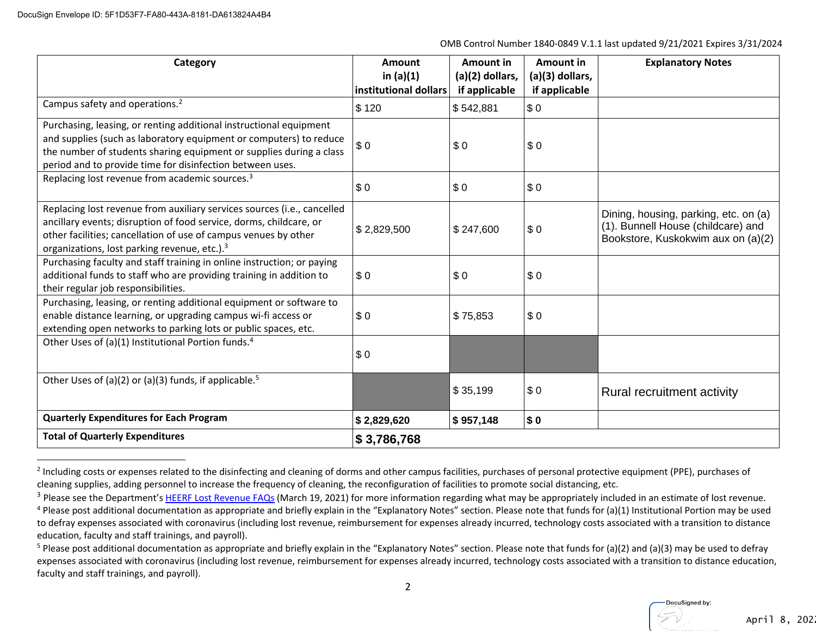| Category                                                                                                                                                                                                                                                                     | <b>Amount</b><br>in $(a)(1)$<br>institutional dollars | Amount in<br>(a)(2) dollars,<br>if applicable | Amount in<br>$(a)(3)$ dollars,<br>if applicable | <b>Explanatory Notes</b>                                                                                          |
|------------------------------------------------------------------------------------------------------------------------------------------------------------------------------------------------------------------------------------------------------------------------------|-------------------------------------------------------|-----------------------------------------------|-------------------------------------------------|-------------------------------------------------------------------------------------------------------------------|
| Campus safety and operations. <sup>2</sup>                                                                                                                                                                                                                                   | \$120                                                 | \$542,881                                     | \$0                                             |                                                                                                                   |
| Purchasing, leasing, or renting additional instructional equipment<br>and supplies (such as laboratory equipment or computers) to reduce<br>the number of students sharing equipment or supplies during a class<br>period and to provide time for disinfection between uses. | \$0                                                   | \$0                                           | \$0                                             |                                                                                                                   |
| Replacing lost revenue from academic sources. <sup>3</sup>                                                                                                                                                                                                                   | \$0                                                   | \$0                                           | \$0                                             |                                                                                                                   |
| Replacing lost revenue from auxiliary services sources (i.e., cancelled<br>ancillary events; disruption of food service, dorms, childcare, or<br>other facilities; cancellation of use of campus venues by other<br>organizations, lost parking revenue, etc.). <sup>3</sup> | \$2,829,500                                           | \$247,600                                     | \$0                                             | Dining, housing, parking, etc. on (a)<br>(1). Bunnell House (childcare) and<br>Bookstore, Kuskokwim aux on (a)(2) |
| Purchasing faculty and staff training in online instruction; or paying<br>additional funds to staff who are providing training in addition to<br>their regular job responsibilities.                                                                                         | \$0                                                   | \$0                                           | \$0                                             |                                                                                                                   |
| Purchasing, leasing, or renting additional equipment or software to<br>enable distance learning, or upgrading campus wi-fi access or<br>extending open networks to parking lots or public spaces, etc.                                                                       | \$0                                                   | \$75,853                                      | \$0                                             |                                                                                                                   |
| Other Uses of (a)(1) Institutional Portion funds. <sup>4</sup>                                                                                                                                                                                                               | \$0                                                   |                                               |                                                 |                                                                                                                   |
| Other Uses of (a)(2) or (a)(3) funds, if applicable. <sup>5</sup>                                                                                                                                                                                                            |                                                       | \$35,199                                      | \$0                                             | Rural recruitment activity                                                                                        |
| <b>Quarterly Expenditures for Each Program</b>                                                                                                                                                                                                                               | \$2,829,620                                           | $\frac{1}{2}$ \$957,148                       | \$0                                             |                                                                                                                   |
| <b>Total of Quarterly Expenditures</b>                                                                                                                                                                                                                                       | \$3,786,768                                           |                                               |                                                 |                                                                                                                   |

<sup>&</sup>lt;sup>2</sup> Including costs or expenses related to the disinfecting and cleaning of dorms and other campus facilities, purchases of personal protective equipment (PPE), purchases of cleaning supplies, adding personnel to increase the frequency of cleaning, the reconfiguration of facilities to promote social distancing, etc.

<sup>&</sup>lt;sup>3</sup> Please see the Department's HEERF Lost Revenue FAQs (March 19, 2021) for more information regarding what may be appropriately included in an estimate of lost revenue.

 $4$  Please post additional documentation as appropriate and briefly explain in the "Explanatory Notes" section. Please note that funds for (a)(1) Institutional Portion may be used to defray expenses associated with coronavirus (including lost revenue, reimbursement for expenses already incurred, technology costs associated with a transition to distance education, faculty and staff trainings, and payroll).

<sup>&</sup>lt;sup>5</sup> Please post additional documentation as appropriate and briefly explain in the "Explanatory Notes" section. Please note that funds for (a)(2) and (a)(3) may be used to defray expenses associated with coronavirus (including lost revenue, reimbursement for expenses already incurred, technology costs associated with a transition to distance education, faculty and staff trainings, and payroll).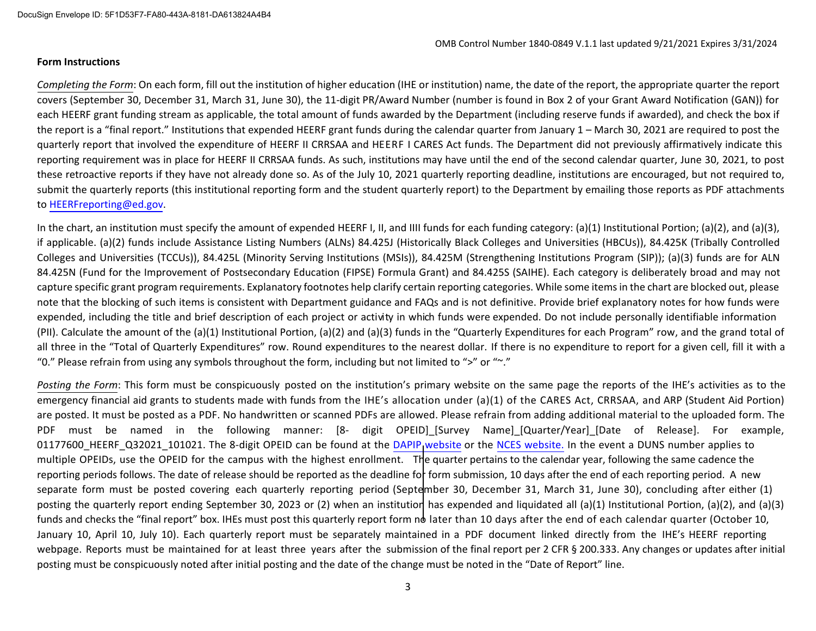## **Form Instructions**

*Completing the Form*: On each form, fill out the institution of higher education (IHE or institution) name, the date of the report, the appropriate quarter the report covers (September 30, December 31, March 31, June 30), the 11‐digit PR/Award Number (number is found in Box 2 of your Grant Award Notification (GAN)) for each HEERF grant funding stream as applicable, the total amount of funds awarded by the Department (including reserve funds if awarded), and check the box if the report is a "final report." Institutions that expended HEERF grant funds during the calendar quarter from January 1 – March 30, 2021 are required to post the quarterly report that involved the expenditure of HEERF II CRRSAA and HEERF I CARES Act funds. The Department did not previously affirmatively indicate this reporting requirement was in place for HEERF II CRRSAA funds. As such, institutions may have until the end of the second calendar quarter, June 30, 2021, to post these retroactive reports if they have not already done so. As of the July 10, 2021 quarterly reporting deadline, institutions are encouraged, but not required to, submit the quarterly reports (this institutional reporting form and the student quarterly report) to the Department by emailing those reports as PDF attachments to HEERFreporting@ed.gov.

In the chart, an institution must specify the amount of expended HEERF I, II, and IIII funds for each funding category: (a)(1) Institutional Portion; (a)(2), and (a)(3), if applicable. (a)(2) funds include Assistance Listing Numbers (ALNs) 84.425J (Historically Black Colleges and Universities (HBCUs)), 84.425K (Tribally Controlled Colleges and Universities (TCCUs)), 84.425L (Minority Serving Institutions (MSIs)), 84.425M (Strengthening Institutions Program (SIP)); (a)(3) funds are for ALN<br>84.425N (Eund for the Improvement of Postsesendary Education 84.425N (Fund for the Improvement of Postsecondary Education (FIPSE) Formula Grant) and 84.425S (SAIHE). Each category is deliberately broad and may not capture specific grant program requirements. Explanatory footnotes help clarify certain reporting categories. While some items in the chart are blocked out, please note that the blocking of such items is consistent with Department guidance and FAQs and is not definitive. Provide brief explanatory notes for how funds were expended, including the title and brief description of each project or activity in which funds were expended. Do not include personally identifiable information (PII). Calculate the amount of the (a)(1) Institutional Portion, (a)(2) and (a)(3) funds in the "Quarterly Expenditures for each Program" row, and the grand total of all three in the "Total of Quarterly Expenditures" row. Round expenditures to the nearest dollar. If there is no expenditure to report for a given cell, fill it with a "0." Please refrain from using any symbols throughout the form, including but not limited to ">" or "~."

*Posting the Form*: This form must be conspicuously posted on the institution's primary website on the same page the reports of the IHE's activities as to the emergency financial aid grants to students made with funds from the IHE's allocation under (a)(1) of the CARES Act, CRRSAA, and ARP (Student Aid Portion) are posted. It must be posted as a PDF. No handwritten or scanned PDFs are allowed. Please refrain from adding additional material to the uploaded form. The PDF must be named in the following manner: [8- digit OPEID]\_[Survey Name]\_[Quarter/Year]\_[Date of Release]. For example, 01177600\_HEERF\_Q32021\_101021. The 8-digit OPEID can be found at the [DAPIP website](https://ope.ed.gov/dapip/#/home) or the [NCES website.](https://nces.ed.gov/collegenavigator/) In the event a DUNS number applies to multiple OPEIDs, use the OPEID for the campus with the highest enrollment. The quarter pertains to the calendar year, following the same cadence the reporting periods follows. The date of release should be reported as the deadline for form submission, 10 days after the end of each reporting period. A new separate form must be posted covering each quarterly reporting period (September 30, December 31, March 31, June 30), concluding after either (1)<br>And the state of the conclusion of the conclusion of the conclusion of the posting the quarterly report ending September 30, <sup>2023</sup> or (2) when an institution has expended and liquidated all (a)(1) Institutional Portion, (a)(2), and (a)(3) funds and checks the "final report" box. IHEs must post this quarterly report form no later than 10 days after the end of each calendar quarter (October 10, January 10, April 10, July 10). Each quarterly report must be separately maintained in a PDF document linked directly from the IHE's HEERF reporting webpage. Reports must be maintained for at least three years after the submission of the final report per 2 CFR § 200.333. Any changes or updates after initial portion of the submission of the final report per 2 CFR § 200. posting must be conspicuously noted after initial posting and the date of the change must be noted in the "Date of Report" line.